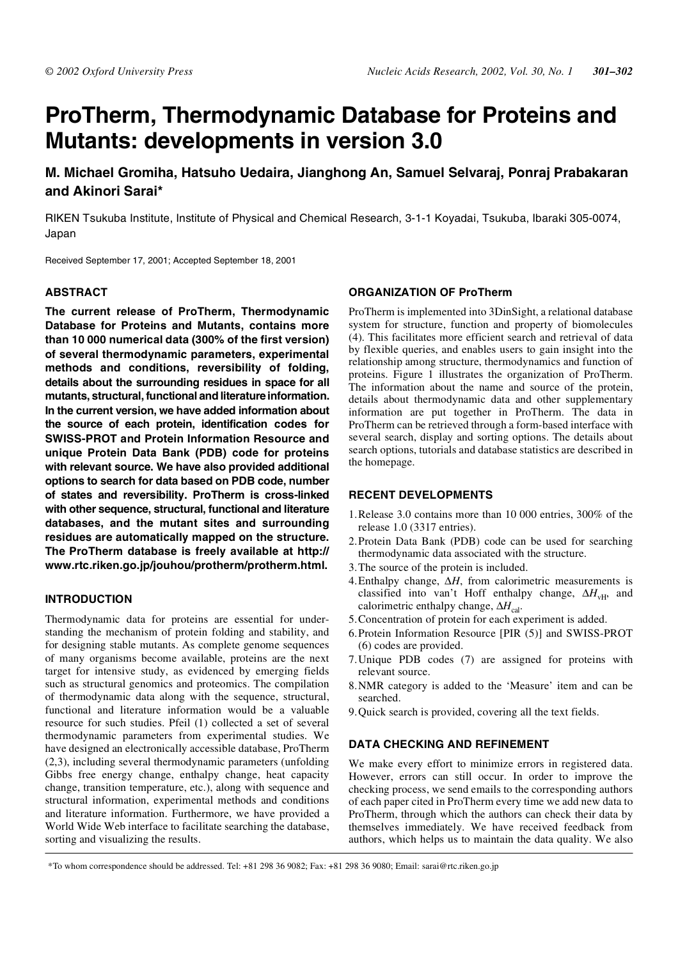# **ProTherm, Thermodynamic Database for Proteins and Mutants: developments in version 3.0**

**M. Michael Gromiha, Hatsuho Uedaira, Jianghong An, Samuel Selvaraj, Ponraj Prabakaran and Akinori Sarai\***

RIKEN Tsukuba Institute, Institute of Physical and Chemical Research, 3-1-1 Koyadai, Tsukuba, Ibaraki 305-0074, Japan

Received September 17, 2001; Accepted September 18, 2001

## **ABSTRACT**

**The current release of ProTherm, Thermodynamic Database for Proteins and Mutants, contains more than 10 000 numerical data (300% of the first version) of several thermodynamic parameters, experimental methods and conditions, reversibility of folding, details about the surrounding residues in space for all mutants, structural, functional and literature information. In the current version, we have added information about the source of each protein, identification codes for SWISS-PROT and Protein Information Resource and unique Protein Data Bank (PDB) code for proteins with relevant source. We have also provided additional options to search for data based on PDB code, number of states and reversibility. ProTherm is cross-linked with other sequence, structural, functional and literature databases, and the mutant sites and surrounding residues are automatically mapped on the structure. The ProTherm database is freely available at http:// www.rtc.riken.go.jp/jouhou/protherm/protherm.html.**

# **INTRODUCTION**

Thermodynamic data for proteins are essential for understanding the mechanism of protein folding and stability, and for designing stable mutants. As complete genome sequences of many organisms become available, proteins are the next target for intensive study, as evidenced by emerging fields such as structural genomics and proteomics. The compilation of thermodynamic data along with the sequence, structural, functional and literature information would be a valuable resource for such studies. Pfeil (1) collected a set of several thermodynamic parameters from experimental studies. We have designed an electronically accessible database, ProTherm (2,3), including several thermodynamic parameters (unfolding Gibbs free energy change, enthalpy change, heat capacity change, transition temperature, etc.), along with sequence and structural information, experimental methods and conditions and literature information. Furthermore, we have provided a World Wide Web interface to facilitate searching the database, sorting and visualizing the results.

## **ORGANIZATION OF ProTherm**

ProTherm is implemented into 3DinSight, a relational database system for structure, function and property of biomolecules (4). This facilitates more efficient search and retrieval of data by flexible queries, and enables users to gain insight into the relationship among structure, thermodynamics and function of proteins. Figure 1 illustrates the organization of ProTherm. The information about the name and source of the protein, details about thermodynamic data and other supplementary information are put together in ProTherm. The data in ProTherm can be retrieved through a form-based interface with several search, display and sorting options. The details about search options, tutorials and database statistics are described in the homepage.

#### **RECENT DEVELOPMENTS**

- 1.Release 3.0 contains more than 10 000 entries, 300% of the release 1.0 (3317 entries).
- 2.Protein Data Bank (PDB) code can be used for searching thermodynamic data associated with the structure.
- 3.The source of the protein is included.
- 4.Enthalpy change, ∆*H*, from calorimetric measurements is classified into van't Hoff enthalpy change, ∆*H*<sub>vH</sub>, and calorimetric enthalpy change, ∆*H*<sub>cal</sub>.
- 5.Concentration of protein for each experiment is added.
- 6.Protein Information Resource [PIR (5)] and SWISS-PROT (6) codes are provided.
- 7.Unique PDB codes (7) are assigned for proteins with relevant source.
- 8.NMR category is added to the 'Measure' item and can be searched.
- 9.Quick search is provided, covering all the text fields.

### **DATA CHECKING AND REFINEMENT**

We make every effort to minimize errors in registered data. However, errors can still occur. In order to improve the checking process, we send emails to the corresponding authors of each paper cited in ProTherm every time we add new data to ProTherm, through which the authors can check their data by themselves immediately. We have received feedback from authors, which helps us to maintain the data quality. We also

\*To whom correspondence should be addressed. Tel: +81 298 36 9082; Fax: +81 298 36 9080; Email: sarai@rtc.riken.go.jp